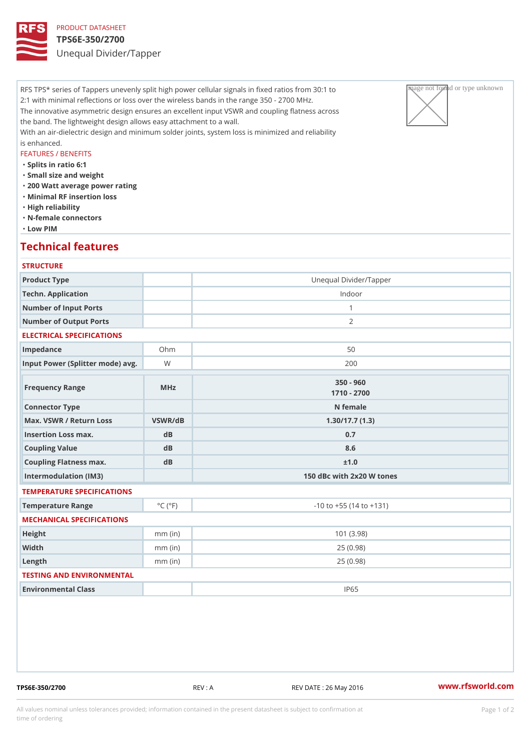# PRODUCT DATASHEET TPS6E-350/2700 Unequal Divider/Tapper

RFS TPS\* series of Tappers unevenly split high power cellular signals in fixeage pathaged privar unknown to 2:1 with minimal reflections or loss over the wireless bands in the range  $350 \times 2700$  MHz. The innovative asymmetric design ensures an excellent input VSWR and coupling flatness across the band. The lightweight design allows easy attachment to a wall. With an air-dielectric design and minimum solder joints, system loss is minimized and reliability is enhanced.

### FEATURES / BENEFITS

"Splits in ratio 6:1

- "Small size and weight
- "200 Watt average power rating
- "Minimal RF insertion loss
- "High reliability
- "N-female connectors
- "Low PIM

## Technical features

| <b>STRUCTURE</b>                  |                             |                                |
|-----------------------------------|-----------------------------|--------------------------------|
| Product Type                      |                             | Unequal Divider/Tapper         |
| Techn. Application                |                             | Indoor                         |
| Number of Input Ports             |                             | $\mathbf{1}$                   |
| Number of Output Ports            |                             | 2                              |
| ELECTRICAL SPECIFICATIONS         |                             |                                |
| Impedance                         | $Oh$ m                      | 50                             |
| Input Power (Splitter mode) Wavg. |                             | 200                            |
| Frequency Range                   | $M$ H z                     | $350 - 960$<br>1710 - 2700     |
| Connector Type                    |                             | N female                       |
| Max. VSWR / Return LossVSWR/dB    |                             | 1.30/17.7(1.3)                 |
| Insertion Loss max.               | $d$ B                       | 0.7                            |
| Coupling Value                    | $d$ B                       | 8.6                            |
| Coupling Flatness max.            | $d$ B                       | ±1.0                           |
| Intermodulation (IM3)             |                             | 150 dBc with 2x20 W tones      |
| TEMPERATURE SPECIFICATIONS        |                             |                                |
| Temperature Range                 | $^{\circ}$ C ( $^{\circ}$ F | $-10$ to $+55$ (14 to $+131$ ) |
| MECHANICAL SPECIFICATIONS         |                             |                                |
| Height                            | $mm$ (in)                   | 101(3.98)                      |
| Width                             | $mm$ (in)                   | 25(0.98)                       |
| $L$ ength                         | $mm$ (in)                   | 25(0.98)                       |
| TESTING AND ENVIRONMENTAL         |                             |                                |
| Environmental Class               |                             | IP65                           |
|                                   |                             |                                |

TPS6E-350/2700 REV : A REV DATE : 26 May 2016 [www.](https://www.rfsworld.com)rfsworld.com

All values nominal unless tolerances provided; information contained in the present datasheet is subject to Pcapgeign manation time of ordering